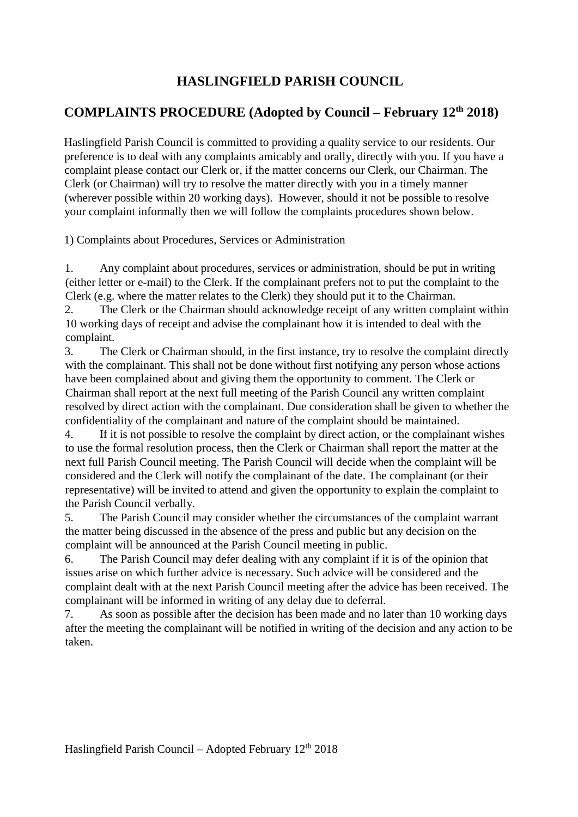## **HASLINGFIELD PARISH COUNCIL**

## **COMPLAINTS PROCEDURE (Adopted by Council – February 12th 2018)**

Haslingfield Parish Council is committed to providing a quality service to our residents. Our preference is to deal with any complaints amicably and orally, directly with you. If you have a complaint please contact our Clerk or, if the matter concerns our Clerk, our Chairman. The Clerk (or Chairman) will try to resolve the matter directly with you in a timely manner (wherever possible within 20 working days). However, should it not be possible to resolve your complaint informally then we will follow the complaints procedures shown below.

1) Complaints about Procedures, Services or Administration

1. Any complaint about procedures, services or administration, should be put in writing (either letter or e-mail) to the Clerk. If the complainant prefers not to put the complaint to the Clerk (e.g. where the matter relates to the Clerk) they should put it to the Chairman.

2. The Clerk or the Chairman should acknowledge receipt of any written complaint within 10 working days of receipt and advise the complainant how it is intended to deal with the complaint.

3. The Clerk or Chairman should, in the first instance, try to resolve the complaint directly with the complainant. This shall not be done without first notifying any person whose actions have been complained about and giving them the opportunity to comment. The Clerk or Chairman shall report at the next full meeting of the Parish Council any written complaint resolved by direct action with the complainant. Due consideration shall be given to whether the confidentiality of the complainant and nature of the complaint should be maintained.

4. If it is not possible to resolve the complaint by direct action, or the complainant wishes to use the formal resolution process, then the Clerk or Chairman shall report the matter at the next full Parish Council meeting. The Parish Council will decide when the complaint will be considered and the Clerk will notify the complainant of the date. The complainant (or their representative) will be invited to attend and given the opportunity to explain the complaint to the Parish Council verbally.

5. The Parish Council may consider whether the circumstances of the complaint warrant the matter being discussed in the absence of the press and public but any decision on the complaint will be announced at the Parish Council meeting in public.

6. The Parish Council may defer dealing with any complaint if it is of the opinion that issues arise on which further advice is necessary. Such advice will be considered and the complaint dealt with at the next Parish Council meeting after the advice has been received. The complainant will be informed in writing of any delay due to deferral.

7. As soon as possible after the decision has been made and no later than 10 working days after the meeting the complainant will be notified in writing of the decision and any action to be taken.